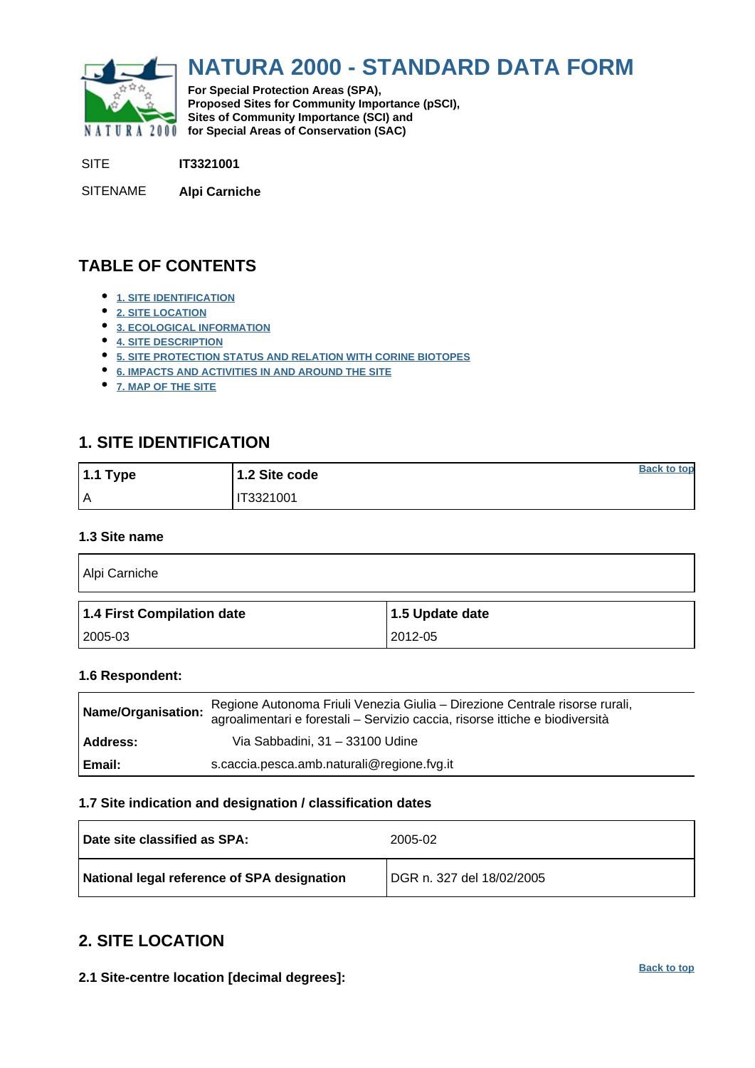<span id="page-0-0"></span>

# **NATURA 2000 - STANDARD DATA FORM**

**For Special Protection Areas (SPA), Proposed Sites for Community Importance (pSCI), Sites of Community Importance (SCI) and NATURA 2000 for Special Areas of Conservation (SAC)** 

SITE **IT3321001**

SITENAME **Alpi Carniche**

## **TABLE OF CONTENTS**

- **[1. SITE IDENTIFICATION](#page-0-1)**
- **[2. SITE LOCATION](#page-0-2)**
- **[3. ECOLOGICAL INFORMATION](#page-1-0)**
- **[4. SITE DESCRIPTION](#page-7-0)**
- **[5. SITE PROTECTION STATUS AND RELATION WITH CORINE BIOTOPES](#page-11-0)**
- **[6. IMPACTS AND ACTIVITIES IN AND AROUND THE SITE](#page-12-0)**
- **[7. MAP OF THE SITE](#page-12-1)**

## <span id="page-0-1"></span>**1. SITE IDENTIFICATION**

| 1.1 Type | 1.2 Site code | <b>Back to top</b> |
|----------|---------------|--------------------|
| ١A       | IT3321001     |                    |

#### **1.3 Site name**

| Alpi Carniche              |                 |  |  |  |  |  |  |
|----------------------------|-----------------|--|--|--|--|--|--|
| 1.4 First Compilation date | 1.5 Update date |  |  |  |  |  |  |
| 2005-03                    | 2012-05         |  |  |  |  |  |  |

#### **1.6 Respondent:**

| Name/Organisation: | Regione Autonoma Friuli Venezia Giulia - Direzione Centrale risorse rurali,<br>agroalimentari e forestali - Servizio caccia, risorse ittiche e biodiversità |
|--------------------|-------------------------------------------------------------------------------------------------------------------------------------------------------------|
| Address:           | Via Sabbadini, 31 - 33100 Udine                                                                                                                             |
| Email:             | s.caccia.pesca.amb.naturali@regione.fvg.it                                                                                                                  |

#### **1.7 Site indication and designation / classification dates**

| Date site classified as SPA:                | 2005-02                   |
|---------------------------------------------|---------------------------|
| National legal reference of SPA designation | DGR n. 327 del 18/02/2005 |

## <span id="page-0-2"></span>**2. SITE LOCATION**

**2.1 Site-centre location [decimal degrees]:**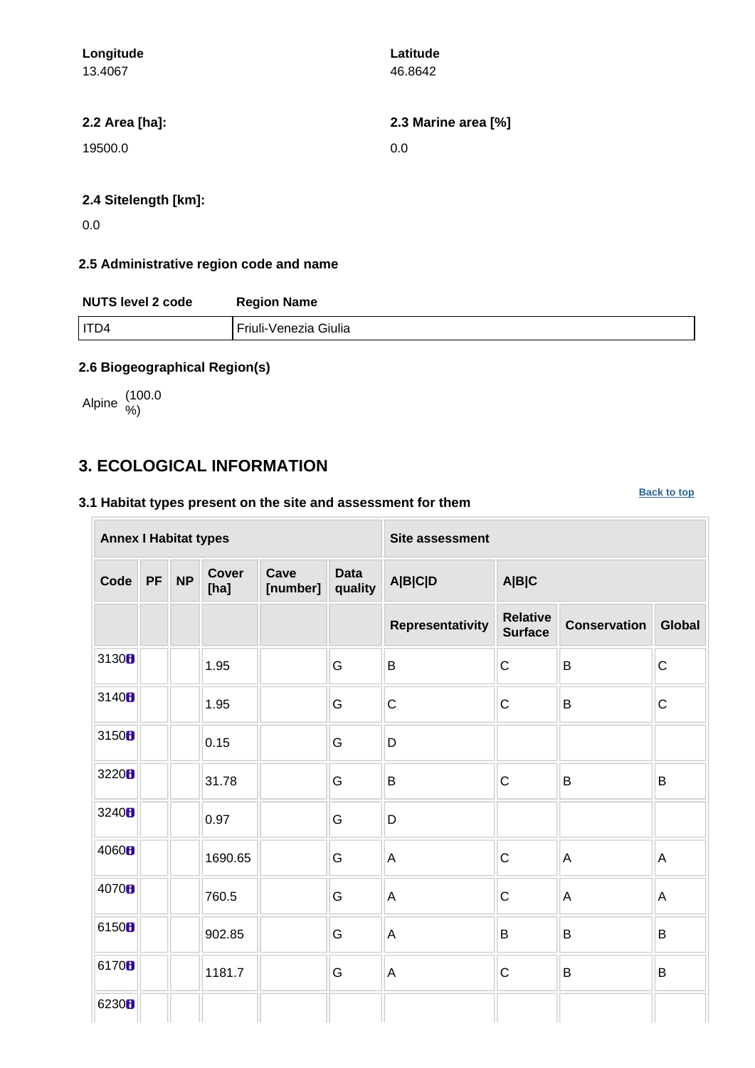| Longitude            | Latitude            |
|----------------------|---------------------|
| 13.4067              | 46.8642             |
| 2.2 Area [ha]:       | 2.3 Marine area [%] |
| 19500.0              | 0.0                 |
| 2.4 Sitelength [km]: |                     |

0.0

## **2.5 Administrative region code and name**

| <b>NUTS level 2 code</b> | <b>Region Name</b>    |
|--------------------------|-----------------------|
| I ITD4                   | Friuli-Venezia Giulia |

#### **2.6 Biogeographical Region(s)**

Alpine (100.0

## <span id="page-1-0"></span>**3. ECOLOGICAL INFORMATION**

## **3.1 Habitat types present on the site and assessment for them**

**[Back to top](#page-0-0)**

|                   | <b>Annex I Habitat types</b><br><b>Cover</b><br>Cave<br><b>NP</b><br><b>PF</b><br>[ha]<br>[number]<br>1.95<br>G<br>G<br>1.95<br>G<br>0.15 |  |         |  |                        | <b>Site assessment</b> |                                   |                     |               |  |  |  |
|-------------------|-------------------------------------------------------------------------------------------------------------------------------------------|--|---------|--|------------------------|------------------------|-----------------------------------|---------------------|---------------|--|--|--|
| Code              |                                                                                                                                           |  |         |  | <b>Data</b><br>quality | <b>A B C D</b>         | A B C                             |                     |               |  |  |  |
|                   |                                                                                                                                           |  |         |  |                        | Representativity       | <b>Relative</b><br><b>Surface</b> | <b>Conservation</b> | <b>Global</b> |  |  |  |
| 3130B             |                                                                                                                                           |  |         |  |                        | B                      | $\mathsf C$                       | B                   | $\mathsf{C}$  |  |  |  |
| 3140 <sub>B</sub> |                                                                                                                                           |  |         |  |                        | $\mathsf C$            | $\mathsf C$                       | B                   | $\mathsf C$   |  |  |  |
| 3150B             |                                                                                                                                           |  |         |  |                        | D                      |                                   |                     |               |  |  |  |
| 3220 <sub>B</sub> |                                                                                                                                           |  | 31.78   |  | G                      | B                      | $\mathsf C$                       | B                   | B             |  |  |  |
| 3240 <sub>B</sub> |                                                                                                                                           |  | 0.97    |  | G                      | D                      |                                   |                     |               |  |  |  |
| 4060 <sub>B</sub> |                                                                                                                                           |  | 1690.65 |  | G                      | $\mathsf A$            | $\mathbf C$                       | A                   | A             |  |  |  |
| 4070 <sub>B</sub> |                                                                                                                                           |  | 760.5   |  | G                      | A                      | $\mathbf C$                       | A                   | A             |  |  |  |
| 6150B             |                                                                                                                                           |  | 902.85  |  | G                      | A                      | B                                 | B                   | B             |  |  |  |
| 6170 <sub>B</sub> |                                                                                                                                           |  | 1181.7  |  | G                      | $\mathsf A$            | $\mathsf C$                       | B                   | B             |  |  |  |
| 6230 <sub>B</sub> |                                                                                                                                           |  |         |  |                        |                        |                                   |                     |               |  |  |  |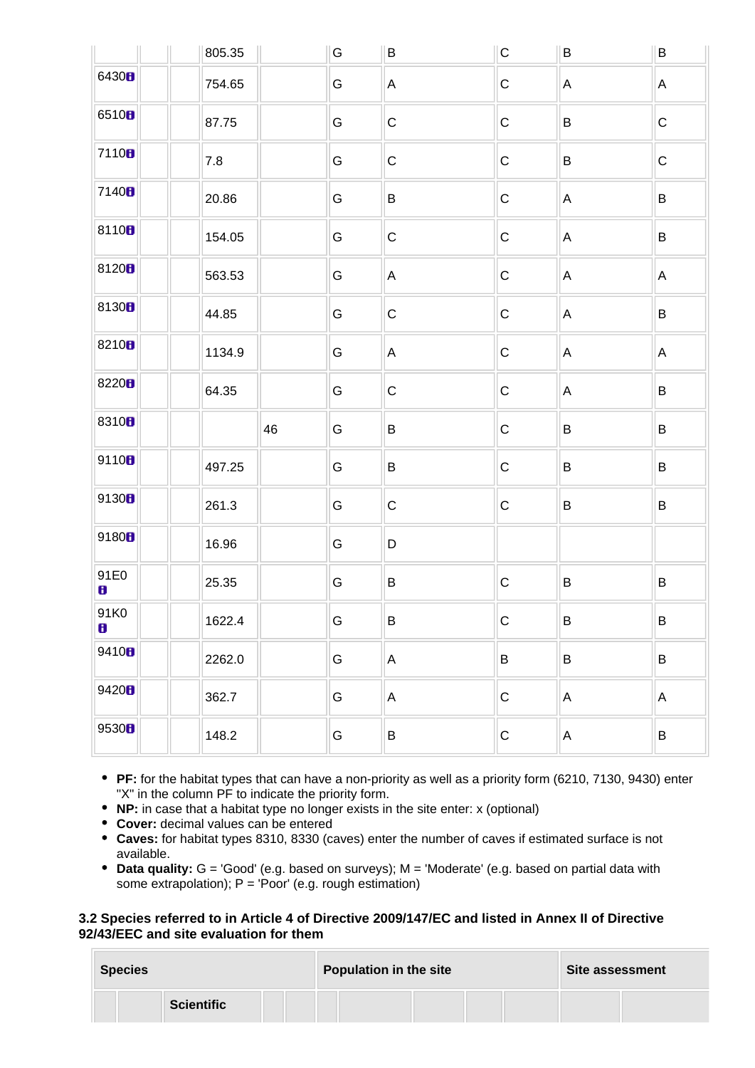|                   | 805.35 |    | G | B            | $\mathsf C$ | B            | $\sf B$     |
|-------------------|--------|----|---|--------------|-------------|--------------|-------------|
| 6430B             | 754.65 |    | G | A            | ${\bf C}$   | A            | A           |
| 6510 <sub>8</sub> | 87.75  |    | G | ${\bf C}$    | $\mathsf C$ | B            | $\mathsf C$ |
| 7110 <sub>8</sub> | 7.8    |    | G | $\mathbf C$  | $\mathsf C$ | B            | $\mathsf C$ |
| 7140 <sup>B</sup> | 20.86  |    | G | B            | ${\bf C}$   | A            | B           |
| 81108             | 154.05 |    | G | $\mathbf C$  | $\mathsf C$ | A            | B           |
| 8120 <sub>8</sub> | 563.53 |    | G | A            | ${\bf C}$   | A            | A           |
| 8130 <sub>8</sub> | 44.85  |    | G | $\mathsf{C}$ | $\mathsf C$ | A            | B           |
| 8210 <sub>8</sub> | 1134.9 |    | G | A            | $\mathsf C$ | A            | A           |
| 8220 <sub>8</sub> | 64.35  |    | G | ${\bf C}$    | $\mathsf C$ | A            | B           |
| 8310 <sub>8</sub> |        | 46 | G | B            | $\mathsf C$ | $\sf B$      | $\sf B$     |
| 9110B             | 497.25 |    | G | B            | $\mathsf C$ | B            | B           |
| 9130B             | 261.3  |    | G | $\mathbf C$  | $\mathsf C$ | $\sf B$      | B           |
| 9180H             | 16.96  |    | G | $\mathsf D$  |             |              |             |
| 91E0<br>8         | 25.35  |    | G | $\sf B$      | $\mathsf C$ | $\sf B$      | $\sf B$     |
| 91K0<br>8         | 1622.4 |    | G | $\sf B$      | $\mathsf C$ | $\sf B$      | B           |
| 9410B             | 2262.0 |    | G | $\mathsf{A}$ | $\sf B$     | B            | B           |
| 9420H             | 362.7  |    | G | $\mathsf{A}$ | $\mathsf C$ | $\mathsf A$  | A           |
| 9530B             | 148.2  |    | G | $\sf B$      | $\mathsf C$ | $\mathsf{A}$ | B           |

- **PF:** for the habitat types that can have a non-priority as well as a priority form (6210, 7130, 9430) enter "X" in the column PF to indicate the priority form.
- **NP:** in case that a habitat type no longer exists in the site enter: x (optional)
- **Cover:** decimal values can be entered
- **Caves:** for habitat types 8310, 8330 (caves) enter the number of caves if estimated surface is not available.
- **Data quality:** G = 'Good' (e.g. based on surveys); M = 'Moderate' (e.g. based on partial data with some extrapolation);  $P = 'Poor'$  (e.g. rough estimation)

#### **3.2 Species referred to in Article 4 of Directive 2009/147/EC and listed in Annex II of Directive 92/43/EEC and site evaluation for them**

| <b>Species</b> |                   | <b>Population in the site</b> | Site assessment |  |  |
|----------------|-------------------|-------------------------------|-----------------|--|--|
|                | <b>Scientific</b> |                               |                 |  |  |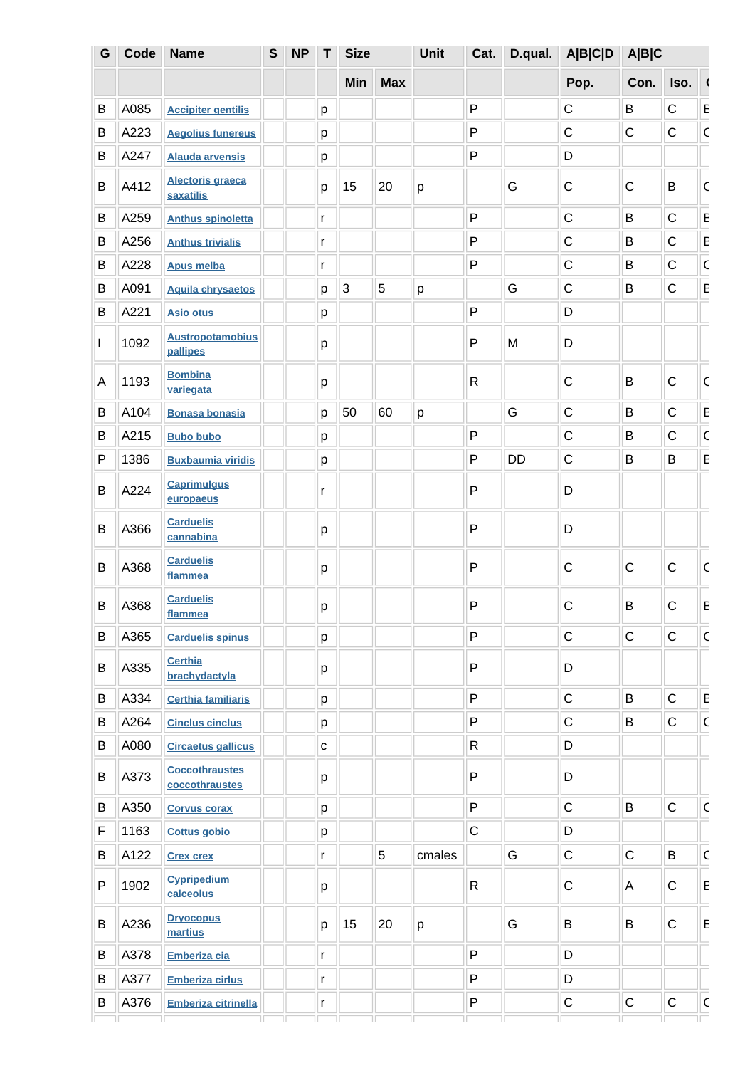| G | Code | <b>Name</b>                             | $\mathbf{s}$ | <b>NP</b> | T           | <b>Size</b>    |            |        | Cat.         | D.qual.   | <b>A B C D</b> | A B C        |             |                |
|---|------|-----------------------------------------|--------------|-----------|-------------|----------------|------------|--------|--------------|-----------|----------------|--------------|-------------|----------------|
|   |      |                                         |              |           |             | Min            | <b>Max</b> |        |              |           | Pop.           | Con.         | Iso.        |                |
| B | A085 | <b>Accipiter gentilis</b>               |              |           | р           |                |            |        | $\mathsf{P}$ |           | $\mathsf C$    | B            | $\mathsf C$ | E              |
| В | A223 | <b>Aegolius funereus</b>                |              |           | р           |                |            |        | P            |           | $\mathsf C$    | $\mathsf{C}$ | $\mathsf C$ | $\mathsf C$    |
| B | A247 | <b>Alauda arvensis</b>                  |              |           | p           |                |            |        | P            |           | D              |              |             |                |
| B | A412 | <b>Alectoris graeca</b><br>saxatilis    |              |           | p           | 15             | 20         | p      |              | G         | $\mathbf C$    | $\mathsf C$  | B           | $\mathsf C$    |
| B | A259 | <b>Anthus spinoletta</b>                |              |           | r           |                |            |        | P            |           | $\mathsf C$    | B            | C           | E              |
| B | A256 | <b>Anthus trivialis</b>                 |              |           | r           |                |            |        | P            |           | $\mathsf C$    | B            | $\mathsf C$ | E              |
| В | A228 | <b>Apus melba</b>                       |              |           | r           |                |            |        | $\mathsf{P}$ |           | $\mathsf C$    | В            | $\mathsf C$ | $\mathsf C$    |
| B | A091 | <b>Aquila chrysaetos</b>                |              |           | р           | $\overline{3}$ | 5          | р      |              | G         | $\mathsf C$    | В            | $\mathsf C$ | E              |
| B | A221 | <b>Asio otus</b>                        |              |           | р           |                |            |        | P            |           | D              |              |             |                |
| I | 1092 | <b>Austropotamobius</b><br>pallipes     |              |           | p           |                |            |        | $\mathsf{P}$ | M         | D              |              |             |                |
| A | 1193 | <b>Bombina</b><br>variegata             |              |           | p           |                |            |        | $\mathsf{R}$ |           | $\mathsf C$    | B            | $\mathsf C$ | $\mathsf{C}$   |
| B | A104 | <b>Bonasa bonasia</b>                   |              |           | p           | 50             | 60         | p      |              | G         | $\mathsf C$    | B            | $\mathsf C$ | E              |
| В | A215 | <b>Bubo bubo</b>                        |              |           | р           |                |            |        | P            |           | $\mathsf C$    | B            | $\mathsf C$ | $\mathsf C$    |
| P | 1386 | <b>Buxbaumia viridis</b>                |              |           | р           |                |            |        | P            | <b>DD</b> | $\mathsf C$    | В            | B           | E              |
| B | A224 | <b>Caprimulgus</b><br>europaeus         |              |           | r           |                |            |        | P            |           | D              |              |             |                |
| B | A366 | <b>Carduelis</b><br>cannabina           |              |           | р           |                |            |        | $\mathsf{P}$ |           | D              |              |             |                |
| B | A368 | <b>Carduelis</b><br>flammea             |              |           | p           |                |            |        | P            |           | C              | C            | C           | C              |
| B | A368 | <b>Carduelis</b><br>flammea             |              |           | р           |                |            |        | ${\sf P}$    |           | $\mathsf C$    | B            | $\mathsf C$ | E              |
| B | A365 | <b>Carduelis spinus</b>                 |              |           | p           |                |            |        | P            |           | $\mathsf C$    | $\mathsf C$  | $\mathsf C$ | $\mathsf C$    |
| В | A335 | <b>Certhia</b><br>brachydactyla         |              |           | р           |                |            |        | $\mathsf{P}$ |           | D              |              |             |                |
| В | A334 | <b>Certhia familiaris</b>               |              |           | p           |                |            |        | P            |           | $\mathsf C$    | B            | $\mathsf C$ | $\overline{E}$ |
| B | A264 | <b>Cinclus cinclus</b>                  |              |           | p           |                |            |        | $\mathsf{P}$ |           | $\mathsf C$    | B            | $\mathsf C$ | $\mathsf{C}$   |
| В | A080 | <b>Circaetus gallicus</b>               |              |           | $\mathbf C$ |                |            |        | $\mathsf{R}$ |           | D              |              |             |                |
| B | A373 | <b>Coccothraustes</b><br>coccothraustes |              |           | p           |                |            |        | $\mathsf{P}$ |           | D              |              |             |                |
| B | A350 | <b>Corvus corax</b>                     |              |           | p           |                |            |        | P            |           | $\mathsf C$    | B            | $\mathsf C$ | $\mathsf C$    |
| F | 1163 | <b>Cottus gobio</b>                     |              |           | p           |                |            |        | $\mathsf C$  |           | D              |              |             |                |
| B | A122 | <b>Crex crex</b>                        |              |           | r           |                | 5          | cmales |              | G         | $\mathsf C$    | $\mathsf C$  | B           | $\mathsf C$    |
| P | 1902 | <b>Cypripedium</b><br>calceolus         |              |           | p           |                |            |        | R            |           | $\mathsf C$    | A            | $\mathsf C$ | $\mathsf E$    |
| B | A236 | <b>Dryocopus</b><br>martius             |              |           | p           | 15             | 20         | p      |              | G         | B              | B            | $\mathsf C$ | E              |
| В | A378 | Emberiza cia                            |              |           | r           |                |            |        | P            |           | D              |              |             |                |
| B | A377 | <b>Emberiza cirlus</b>                  |              |           | r           |                |            |        | P            |           | D              |              |             |                |
| В | A376 | <b>Emberiza citrinella</b>              |              |           | r           |                |            |        | ${\sf P}$    |           | $\mathsf C$    | $\mathsf C$  | $\mathsf C$ | $\mathsf{C}$   |
|   |      |                                         |              |           |             |                |            |        |              |           |                |              |             |                |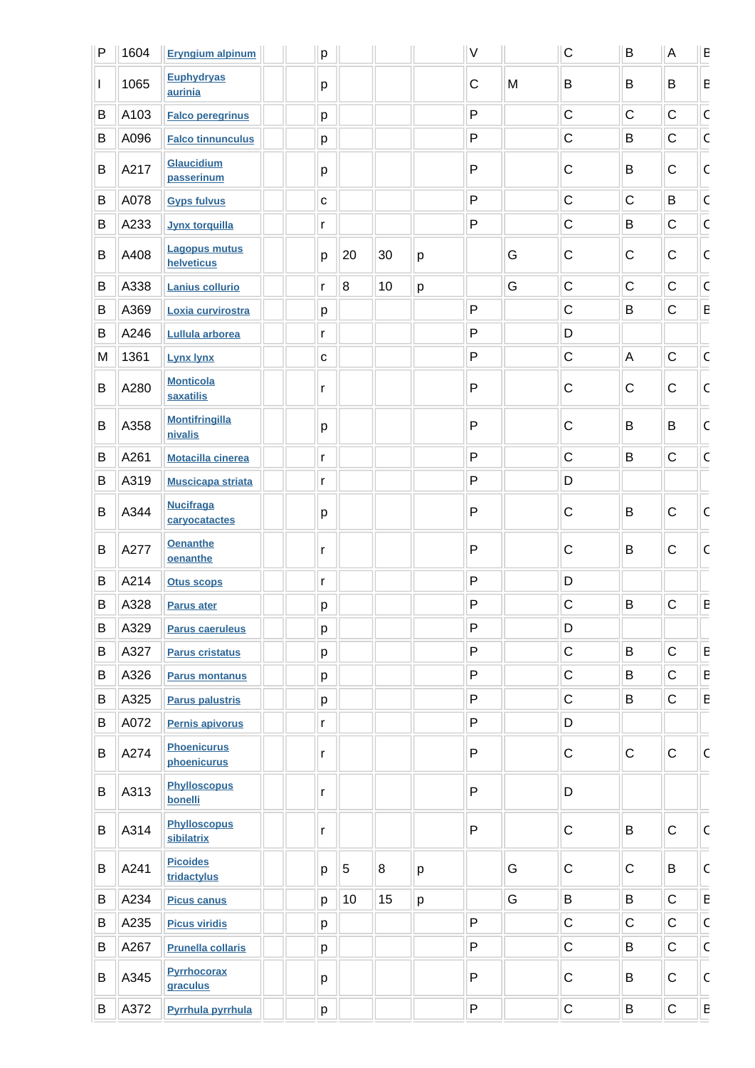| P | 1604 | <b>Eryngium alpinum</b>            | p            |                  |    |   | $\vee$       |   | $\mathsf C$ | $\sf B$     | $\boldsymbol{\mathsf{A}}$ | E                       |
|---|------|------------------------------------|--------------|------------------|----|---|--------------|---|-------------|-------------|---------------------------|-------------------------|
| L | 1065 | <b>Euphydryas</b><br>aurinia       | р            |                  |    |   | $\mathsf{C}$ | M | B           | B           | B                         | $\sf E$                 |
| B | A103 | <b>Falco peregrinus</b>            | p            |                  |    |   | P            |   | $\mathsf C$ | $\mathsf C$ | $\mathsf C$               | $\mathsf C$             |
| B | A096 | <b>Falco tinnunculus</b>           | p            |                  |    |   | P            |   | $\mathsf C$ | B           | $\mathsf{C}$              | $\overline{\mathsf{C}}$ |
| B | A217 | Glaucidium<br>passerinum           | р            |                  |    |   | P            |   | $\mathsf C$ | B           | $\mathsf C$               | $\mathsf{C}$            |
| B | A078 | <b>Gyps fulvus</b>                 | $\mathbf{C}$ |                  |    |   | P            |   | $\mathsf C$ | $\mathsf C$ | B                         | $\mathsf{C}$            |
| B | A233 | <b>Jynx torquilla</b>              | r            |                  |    |   | P            |   | C           | B           | $\mathsf{C}$              | $\overline{\mathsf{c}}$ |
| B | A408 | <b>Lagopus mutus</b><br>helveticus | p            | 20               | 30 | p |              | G | $\mathsf C$ | C           | $\mathsf C$               | $\mathsf C$             |
| B | A338 | <b>Lanius collurio</b>             | r            | $\boldsymbol{8}$ | 10 | p |              | G | $\mathsf C$ | $\mathsf C$ | $\mathsf C$               | $\mathsf C$             |
| B | A369 | Loxia curvirostra                  | р            |                  |    |   | P            |   | $\mathsf C$ | B           | $\mathsf C$               | $\mathsf E$             |
| В | A246 | Lullula arborea                    | r            |                  |    |   | P            |   | D           |             |                           |                         |
| M | 1361 | <b>Lynx lynx</b>                   | C            |                  |    |   | P            |   | $\mathsf C$ | A           | $\mathsf C$               | $\overline{\mathsf{C}}$ |
| B | A280 | <b>Monticola</b><br>saxatilis      | r            |                  |    |   | P            |   | $\mathsf C$ | C           | $\mathsf C$               | $\mathsf C$             |
| B | A358 | <b>Montifringilla</b><br>nivalis   | р            |                  |    |   | P            |   | $\mathsf C$ | B           | B                         | $\mathsf C$             |
| B | A261 | <b>Motacilla cinerea</b>           | r            |                  |    |   | P            |   | $\mathsf C$ | B           | $\mathsf C$               | $\mathsf C$             |
| B | A319 | <b>Muscicapa striata</b>           | r            |                  |    |   | P            |   | D           |             |                           |                         |
| B | A344 | <b>Nucifraga</b><br>caryocatactes  | р            |                  |    |   | P            |   | $\mathsf C$ | B           | $\mathsf C$               | $\mathsf{C}$            |
| B | A277 | <b>Oenanthe</b><br>oenanthe        | r            |                  |    |   | P            |   | $\mathsf C$ | B           | $\mathsf C$               | $\mathsf{C}$            |
| B | A214 | <b>Otus scops</b>                  | r            |                  |    |   | P            |   | D           |             |                           |                         |
| B | A328 | Parus ater                         | p            |                  |    |   | P            |   | C           | B           | $\mathsf{C}$              | ${\sf E}$               |
| B | A329 | <b>Parus caeruleus</b>             | р            |                  |    |   | P            |   | D           |             |                           |                         |
| В | A327 | <b>Parus cristatus</b>             | р            |                  |    |   | P            |   | $\mathsf C$ | B           | $\mathsf C$               | $\mathsf E$             |
| B | A326 | <b>Parus montanus</b>              | p            |                  |    |   | P            |   | $\mathsf C$ | B           | $\mathsf C$               | $\mathsf E$             |
| B | A325 | <b>Parus palustris</b>             | р            |                  |    |   | P            |   | $\mathsf C$ | B           | $\mathsf C$               | ${\sf E}$               |
| B | A072 | Pernis apivorus                    | r            |                  |    |   | P            |   | D           |             |                           |                         |
| B | A274 | <b>Phoenicurus</b><br>phoenicurus  | r            |                  |    |   | P            |   | $\mathsf C$ | $\mathbf C$ | $\mathsf C$               | $\mathsf{C}$            |
| B | A313 | <b>Phylloscopus</b><br>bonelli     | r            |                  |    |   | P            |   | D           |             |                           |                         |
| B | A314 | <b>Phylloscopus</b><br>sibilatrix  | r            |                  |    |   | $\mathsf{P}$ |   | $\mathbf C$ | B           | $\mathsf C$               | $\mathsf{C}$            |
| B | A241 | <b>Picoides</b><br>tridactylus     | p            | 5                | 8  | p |              | G | $\mathsf C$ | $\mathsf C$ | B                         | $\mathsf C$             |
| B | A234 | <b>Picus canus</b>                 | p            | 10               | 15 | p |              | G | B           | B           | $\mathsf{C}$              | $\mathsf E$             |
| B | A235 | <b>Picus viridis</b>               | р            |                  |    |   | P            |   | $\mathsf C$ | $\mathsf C$ | $\mathsf C$               | $\overline{\mathsf{C}}$ |
| B | A267 | <b>Prunella collaris</b>           | р            |                  |    |   | P            |   | $\mathsf C$ | B           | $\mathsf C$               | $\overline{\mathsf{C}}$ |
| B | A345 | <b>Pyrrhocorax</b><br>graculus     | р            |                  |    |   | P            |   | $\mathsf C$ | B           | $\mathsf C$               | $\mathsf{C}$            |
| B | A372 | Pyrrhula pyrrhula                  | p            |                  |    |   | P            |   | $\mathsf C$ | B           | $\mathsf C$               | ${\sf E}$               |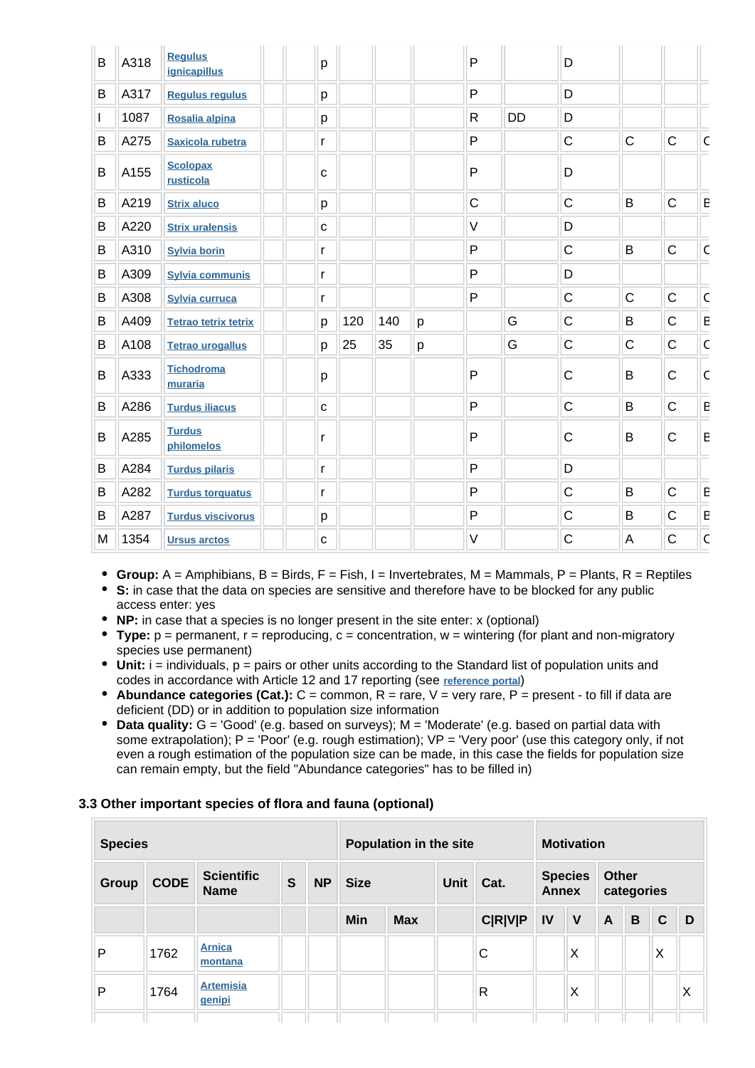| B | A318 | <b>Regulus</b><br>ignicapillus | р            |     |     |   | $\mathsf{P}$ |           | D            |              |              |                         |
|---|------|--------------------------------|--------------|-----|-----|---|--------------|-----------|--------------|--------------|--------------|-------------------------|
| B | A317 | <b>Regulus regulus</b>         | р            |     |     |   | P            |           | D            |              |              |                         |
| L | 1087 | Rosalia alpina                 | р            |     |     |   | $\mathsf{R}$ | <b>DD</b> | D            |              |              |                         |
| B | A275 | Saxicola rubetra               | r            |     |     |   | P            |           | $\mathsf C$  | $\mathsf C$  | $\mathsf C$  | $\overline{\mathsf{C}}$ |
| B | A155 | <b>Scolopax</b><br>rusticola   | C            |     |     |   | P            |           | D            |              |              |                         |
| В | A219 | <b>Strix aluco</b>             | р            |     |     |   | $\mathsf C$  |           | $\mathsf{C}$ | B            | $\mathsf{C}$ | ${\sf E}$               |
| B | A220 | <b>Strix uralensis</b>         | C            |     |     |   | $\vee$       |           | D            |              |              |                         |
| В | A310 | <b>Sylvia borin</b>            | r            |     |     |   | P            |           | $\mathsf C$  | B            | $\mathsf{C}$ | $\overline{\mathsf{C}}$ |
| В | A309 | <b>Sylvia communis</b>         | r            |     |     |   | P            |           | D            |              |              |                         |
| B | A308 | <b>Sylvia curruca</b>          | r            |     |     |   | P            |           | $\mathsf C$  | $\mathsf C$  | $\mathsf C$  | $\overline{\mathsf{C}}$ |
| B | A409 | <b>Tetrao tetrix tetrix</b>    | p            | 120 | 140 | p |              | G         | $\mathsf{C}$ | B            | $\mathsf{C}$ | $\overline{E}$          |
| В | A108 | <b>Tetrao urogallus</b>        | p            | 25  | 35  | р |              | G         | $\mathsf C$  | $\mathsf{C}$ | $\mathsf{C}$ | $\overline{\mathsf{C}}$ |
| B | A333 | <b>Tichodroma</b><br>muraria   | р            |     |     |   | P            |           | $\mathsf{C}$ | B            | $\mathsf{C}$ | $\mathsf{C}$            |
| В | A286 | <b>Turdus iliacus</b>          | $\mathbf{C}$ |     |     |   | P            |           | $\mathsf C$  | B            | $\mathsf{C}$ | $\mathsf E$             |
| B | A285 | <b>Turdus</b><br>philomelos    | r            |     |     |   | P            |           | $\mathsf C$  | B            | C            | $\sf E$                 |
| В | A284 | <b>Turdus pilaris</b>          | r            |     |     |   | P            |           | D            |              |              |                         |
| B | A282 | <b>Turdus torquatus</b>        | r            |     |     |   | P            |           | $\mathsf C$  | B            | $\mathsf{C}$ | $\mathsf E$             |
| В | A287 | <b>Turdus viscivorus</b>       | р            |     |     |   | P            |           | $\mathsf C$  | B            | $\mathsf{C}$ | ${\sf E}$               |
| M | 1354 | <b>Ursus arctos</b>            | C            |     |     |   | $\vee$       |           | $\mathsf{C}$ | A            | C            | $\overline{\mathsf{C}}$ |

- **Group:** A = Amphibians, B = Birds, F = Fish, I = Invertebrates, M = Mammals, P = Plants, R = Reptiles
- **S:** in case that the data on species are sensitive and therefore have to be blocked for any public access enter: yes
- **NP:** in case that a species is no longer present in the site enter: x (optional)
- **Type:** p = permanent, r = reproducing, c = concentration, w = wintering (for plant and non-migratory species use permanent)
- $\bullet$  Unit: i = individuals,  $p =$  pairs or other units according to the Standard list of population units and codes in accordance with Article 12 and 17 reporting (see **[reference portal](http://bd.eionet.europa.eu/activities/Natura_2000/reference_portal)**)
- $\bullet$  **Abundance categories (Cat.):**  $C =$  common,  $R =$  rare,  $V =$  very rare,  $P =$  present to fill if data are deficient (DD) or in addition to population size information
- **Data quality:** G = 'Good' (e.g. based on surveys); M = 'Moderate' (e.g. based on partial data with some extrapolation);  $P = 'Poor'$  (e.g. rough estimation);  $VP = 'Very$  poor' (use this category only, if not even a rough estimation of the population size can be made, in this case the fields for population size can remain empty, but the field "Abundance categories" has to be filled in)

#### **3.3 Other important species of flora and fauna (optional)**

| <b>Species</b> |             |                                  | Population in the site |           |             |            | <b>Motivation</b> |                |              |                |              |            |              |   |
|----------------|-------------|----------------------------------|------------------------|-----------|-------------|------------|-------------------|----------------|--------------|----------------|--------------|------------|--------------|---|
| <b>Group</b>   | <b>CODE</b> | <b>Scientific</b><br><b>Name</b> | S                      | <b>NP</b> | <b>Size</b> |            | <b>Unit</b>       | Cat.           | <b>Annex</b> | <b>Species</b> | Other        | categories |              |   |
|                |             |                                  |                        |           | Min         | <b>Max</b> |                   | <b>C R V P</b> | IV           | $\mathsf{V}$   | $\mathsf{A}$ | B          | $\mathbf{C}$ | D |
| P              | 1762        | <b>Arnica</b><br>montana         |                        |           |             |            |                   | C              |              | Χ              |              |            | X            |   |
| P              | 1764        | <b>Artemisia</b><br>genipi       |                        |           |             |            |                   | R              |              | Χ              |              |            |              | Χ |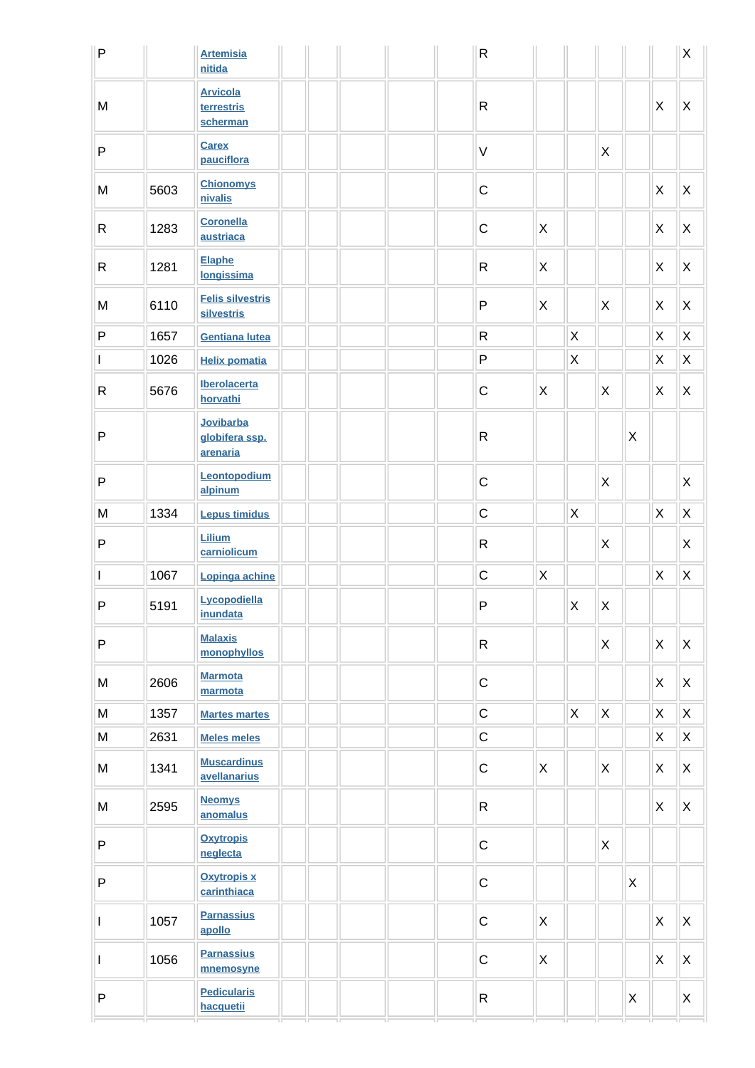| $\mathsf{P}$             |      | <b>Artemisia</b><br>nitida                |  | ${\sf R}$    |                           |              |             |   |                           | $\sf X$        |
|--------------------------|------|-------------------------------------------|--|--------------|---------------------------|--------------|-------------|---|---------------------------|----------------|
| M                        |      | <b>Arvicola</b><br>terrestris<br>scherman |  | $\mathsf{R}$ |                           |              |             |   | $\boldsymbol{\mathsf{X}}$ | X              |
| P                        |      | <b>Carex</b><br>pauciflora                |  | $\mathsf V$  |                           |              | X           |   |                           |                |
| M                        | 5603 | <b>Chionomys</b><br>nivalis               |  | $\mathsf C$  |                           |              |             |   | $\mathsf{X}$              | X              |
| $\mathsf{R}$             | 1283 | <b>Coronella</b><br>austriaca             |  | $\mathsf C$  | X                         |              |             |   | X                         | X              |
| $\mathsf{R}$             | 1281 | <b>Elaphe</b><br>longissima               |  | $\mathsf{R}$ | X                         |              |             |   | $\mathsf{X}$              | X              |
| M                        | 6110 | <b>Felis silvestris</b><br>silvestris     |  | P            | X                         |              | X           |   | X                         | X              |
| ${\sf P}$                | 1657 | <b>Gentiana lutea</b>                     |  | $\mathsf{R}$ |                           | X            |             |   | X                         | X              |
| I                        | 1026 | <b>Helix pomatia</b>                      |  | P            |                           | X            |             |   | X                         | X              |
| ${\sf R}$                | 5676 | <b>Iberolacerta</b><br>horvathi           |  | $\mathsf C$  | X                         |              | X           |   | $\mathsf{X}$              | X              |
| P                        |      | Jovibarba<br>globifera ssp.<br>arenaria   |  | $\mathsf{R}$ |                           |              |             | Χ |                           |                |
| ${\sf P}$                |      | Leontopodium<br>alpinum                   |  | $\mathsf C$  |                           |              | X           |   |                           | X              |
| M                        | 1334 | <b>Lepus timidus</b>                      |  | $\mathsf C$  |                           | $\mathsf{X}$ |             |   | $\pmb{\times}$            | $\pmb{\times}$ |
| P                        |      | Lilium<br>carniolicum                     |  | $\mathsf R$  |                           |              | X           |   |                           | X              |
| $\overline{\phantom{a}}$ | 1067 | Lopinga achine                            |  | $\mathsf{C}$ | $\boldsymbol{\mathsf{X}}$ |              |             |   | $\mathsf X$               | $\mathsf X$    |
| $\mathsf{P}$             | 5191 | Lycopodiella<br>inundata                  |  | $\mathsf{P}$ |                           | X            | $\mathsf X$ |   |                           |                |
| ${\sf P}$                |      | <b>Malaxis</b><br>monophyllos             |  | $\mathsf{R}$ |                           |              | X           |   | X                         | X              |
| M                        | 2606 | <b>Marmota</b><br>marmota                 |  | $\mathsf C$  |                           |              |             |   | $\mathsf{X}$              | X              |
| M                        | 1357 | <b>Martes martes</b>                      |  | $\mathsf C$  |                           | $\mathsf{X}$ | X           |   | X.                        | X              |
| M                        | 2631 | <b>Meles meles</b>                        |  | $\mathsf C$  |                           |              |             |   | X                         | X              |
| M                        | 1341 | <b>Muscardinus</b><br>avellanarius        |  | $\mathsf C$  | X                         |              | X           |   | X                         | X              |
| M                        | 2595 | <b>Neomys</b><br>anomalus                 |  | $\mathsf{R}$ |                           |              |             |   | X                         | X              |
| P                        |      | <b>Oxytropis</b><br>neglecta              |  | $\mathsf C$  |                           |              | X           |   |                           |                |
| P                        |      | <b>Oxytropis x</b><br>carinthiaca         |  | $\mathsf C$  |                           |              |             | X |                           |                |
| ı                        | 1057 | <b>Parnassius</b><br>apollo               |  | $\mathsf C$  | X                         |              |             |   | X.                        | X              |
| $\mathsf I$              | 1056 | <b>Parnassius</b><br>mnemosyne            |  | $\mathsf C$  | X                         |              |             |   | X                         | X              |
| ${\sf P}$                |      | <b>Pedicularis</b><br>hacquetii           |  | $\mathsf{R}$ |                           |              |             | X |                           | X              |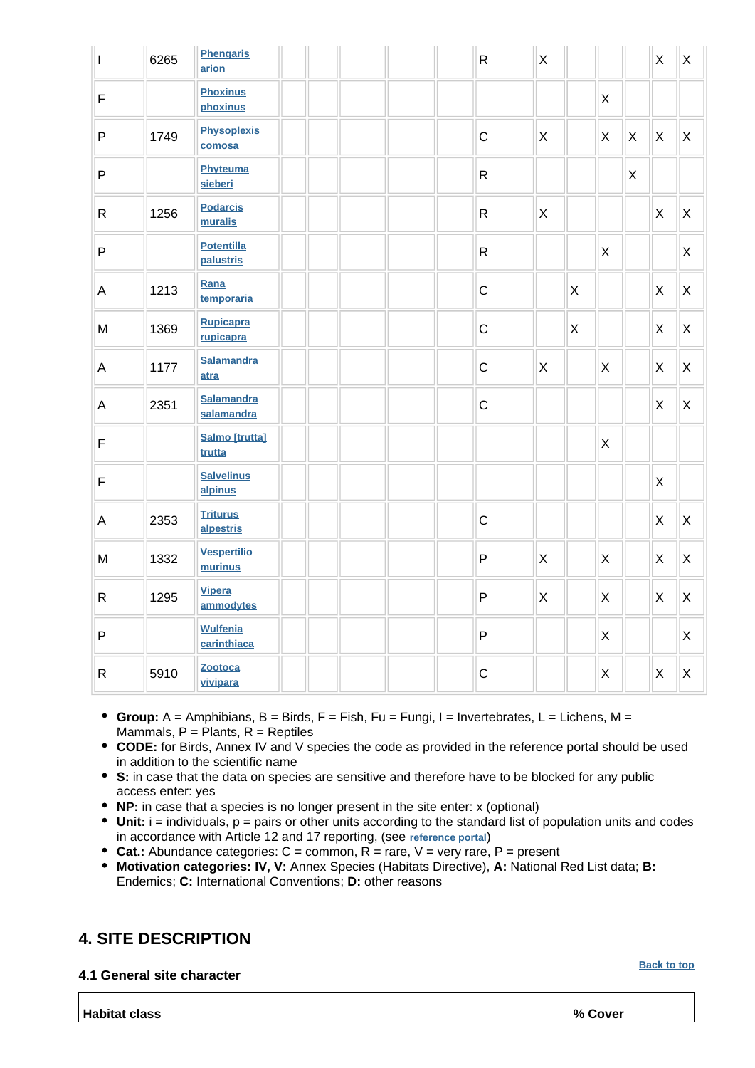| $\mathsf I$                                                                           | 6265 | <b>Phengaris</b><br>arion       |  |  | $\mathsf{R}$ | $\mathsf X$  |                           |                |                | X                         | $\mathsf{X}$ |
|---------------------------------------------------------------------------------------|------|---------------------------------|--|--|--------------|--------------|---------------------------|----------------|----------------|---------------------------|--------------|
| $\mathsf F$                                                                           |      | <b>Phoxinus</b><br>phoxinus     |  |  |              |              |                           | X              |                |                           |              |
| $\mathsf{P}$                                                                          | 1749 | <b>Physoplexis</b><br>comosa    |  |  | $\mathsf C$  | X            |                           | $\mathsf X$    | X              | $\boldsymbol{\mathsf{X}}$ | X            |
| $\sf P$                                                                               |      | Phyteuma<br>sieberi             |  |  | $\mathsf{R}$ |              |                           |                | $\pmb{\times}$ |                           |              |
| ${\sf R}$                                                                             | 1256 | <b>Podarcis</b><br>muralis      |  |  | $\mathsf{R}$ | X            |                           |                |                | X                         | X            |
| $\mathsf{P}$                                                                          |      | <b>Potentilla</b><br>palustris  |  |  | $\mathsf{R}$ |              |                           | $\mathsf X$    |                |                           | X            |
| $\mathsf A$                                                                           | 1213 | Rana<br>temporaria              |  |  | $\mathsf C$  |              | $\mathsf{X}$              |                |                | X                         | X            |
| $\mathsf{M}% _{T}=\mathsf{M}_{T}\!\left( a,b\right) ,\ \mathsf{M}_{T}=\mathsf{M}_{T}$ | 1369 | <b>Rupicapra</b><br>rupicapra   |  |  | $\mathsf C$  |              | $\boldsymbol{\mathsf{X}}$ |                |                | X                         | X            |
| $\overline{A}$                                                                        | 1177 | <b>Salamandra</b><br>atra       |  |  | $\mathsf C$  | $\mathsf{X}$ |                           | $\pmb{\times}$ |                | X                         | X            |
| $\overline{A}$                                                                        | 2351 | <b>Salamandra</b><br>salamandra |  |  | $\mathsf C$  |              |                           |                |                | $\mathsf{X}$              | X            |
| $\mathsf F$                                                                           |      | <b>Salmo</b> [trutta]<br>trutta |  |  |              |              |                           | $\mathsf{X}$   |                |                           |              |
| $\mathsf F$                                                                           |      | <b>Salvelinus</b><br>alpinus    |  |  |              |              |                           |                |                | $\pmb{\times}$            |              |
| $\mathsf{A}$                                                                          | 2353 | <b>Triturus</b><br>alpestris    |  |  | $\mathsf C$  |              |                           |                |                | X                         | $\mathsf{X}$ |
| M                                                                                     | 1332 | <b>Vespertilio</b><br>murinus   |  |  | P            | $\mathsf{X}$ |                           | $\pmb{\times}$ |                | X                         | X            |
| ${\sf R}$                                                                             | 1295 | <b>Vipera</b><br>ammodytes      |  |  | P            | X            |                           | $\pmb{\times}$ |                | $\mathsf{X}$              | $\mathsf{X}$ |
| $\mathsf{P}$                                                                          |      | <b>Wulfenia</b><br>carinthiaca  |  |  | P            |              |                           | $\mathsf{X}$   |                |                           | $\mathsf{X}$ |
| $\mathsf{R}$                                                                          | 5910 | Zootoca<br>vivipara             |  |  | $\mathsf C$  |              |                           | X              |                | X                         | X            |

- **Group:**  $A =$  Amphibians,  $B =$  Birds,  $F =$  Fish,  $Fu = Fungi$ ,  $I =$  Invertebrates,  $L =$  Lichens,  $M =$ Mammals,  $P =$  Plants,  $R =$  Reptiles
- **CODE:** for Birds, Annex IV and V species the code as provided in the reference portal should be used in addition to the scientific name
- **S:** in case that the data on species are sensitive and therefore have to be blocked for any public access enter: yes
- **NP:** in case that a species is no longer present in the site enter: x (optional)
- **Unit:** i = individuals, p = pairs or other units according to the standard list of population units and codes in accordance with Article 12 and 17 reporting, (see **[reference portal](http://bd.eionet.europa.eu/activities/Natura_2000/reference_portal)**)
- Cat.: Abundance categories: C = common, R = rare, V = very rare, P = present
- **Motivation categories: IV, V:** Annex Species (Habitats Directive), **A:** National Red List data; **B:** Endemics; **C:** International Conventions; **D:** other reasons

## <span id="page-7-0"></span>**4. SITE DESCRIPTION**

**4.1 General site character**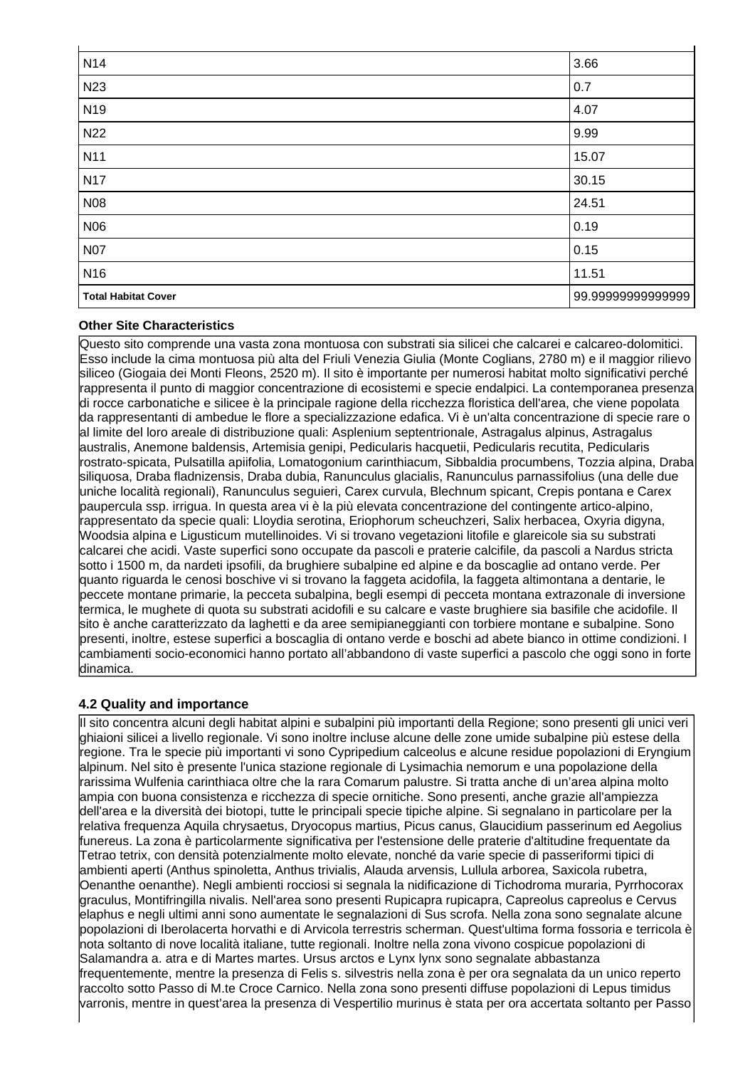| N <sub>14</sub>            | 3.66             |
|----------------------------|------------------|
| N23                        | 0.7              |
| N <sub>19</sub>            | 4.07             |
| N22                        | 9.99             |
| N <sub>11</sub>            | 15.07            |
| <b>N17</b>                 | 30.15            |
| N08                        | 24.51            |
| N06                        | 0.19             |
| <b>N07</b>                 | 0.15             |
| N <sub>16</sub>            | 11.51            |
| <b>Total Habitat Cover</b> | 99.9999999999999 |

#### **Other Site Characteristics**

Questo sito comprende una vasta zona montuosa con substrati sia silicei che calcarei e calcareo-dolomitici. Esso include la cima montuosa più alta del Friuli Venezia Giulia (Monte Coglians, 2780 m) e il maggior rilievo siliceo (Giogaia dei Monti Fleons, 2520 m). Il sito è importante per numerosi habitat molto significativi perché rappresenta il punto di maggior concentrazione di ecosistemi e specie endalpici. La contemporanea presenza di rocce carbonatiche e silicee è la principale ragione della ricchezza floristica dell'area, che viene popolata da rappresentanti di ambedue le flore a specializzazione edafica. Vi è un'alta concentrazione di specie rare o al limite del loro areale di distribuzione quali: Asplenium septentrionale, Astragalus alpinus, Astragalus australis, Anemone baldensis, Artemisia genipi, Pedicularis hacquetii, Pedicularis recutita, Pedicularis rostrato-spicata, Pulsatilla apiifolia, Lomatogonium carinthiacum, Sibbaldia procumbens, Tozzia alpina, Draba siliquosa, Draba fladnizensis, Draba dubia, Ranunculus glacialis, Ranunculus parnassifolius (una delle due uniche località regionali), Ranunculus seguieri, Carex curvula, Blechnum spicant, Crepis pontana e Carex paupercula ssp. irrigua. In questa area vi è la più elevata concentrazione del contingente artico-alpino, rappresentato da specie quali: Lloydia serotina, Eriophorum scheuchzeri, Salix herbacea, Oxyria digyna, Woodsia alpina e Ligusticum mutellinoides. Vi si trovano vegetazioni litofile e glareicole sia su substrati calcarei che acidi. Vaste superfici sono occupate da pascoli e praterie calcifile, da pascoli a Nardus stricta sotto i 1500 m, da nardeti ipsofili, da brughiere subalpine ed alpine e da boscaglie ad ontano verde. Per quanto riguarda le cenosi boschive vi si trovano la faggeta acidofila, la faggeta altimontana a dentarie, le peccete montane primarie, la pecceta subalpina, begli esempi di pecceta montana extrazonale di inversione termica, le mughete di quota su substrati acidofili e su calcare e vaste brughiere sia basifile che acidofile. Il sito è anche caratterizzato da laghetti e da aree semipianeggianti con torbiere montane e subalpine. Sono presenti, inoltre, estese superfici a boscaglia di ontano verde e boschi ad abete bianco in ottime condizioni. I cambiamenti socio-economici hanno portato all'abbandono di vaste superfici a pascolo che oggi sono in forte dinamica.

#### **4.2 Quality and importance**

Il sito concentra alcuni degli habitat alpini e subalpini più importanti della Regione; sono presenti gli unici veri ghiaioni silicei a livello regionale. Vi sono inoltre incluse alcune delle zone umide subalpine più estese della regione. Tra le specie più importanti vi sono Cypripedium calceolus e alcune residue popolazioni di Eryngium alpinum. Nel sito è presente l'unica stazione regionale di Lysimachia nemorum e una popolazione della rarissima Wulfenia carinthiaca oltre che la rara Comarum palustre. Si tratta anche di un'area alpina molto ampia con buona consistenza e ricchezza di specie ornitiche. Sono presenti, anche grazie all'ampiezza dell'area e la diversità dei biotopi, tutte le principali specie tipiche alpine. Si segnalano in particolare per la relativa frequenza Aquila chrysaetus, Dryocopus martius, Picus canus, Glaucidium passerinum ed Aegolius funereus. La zona è particolarmente significativa per l'estensione delle praterie d'altitudine frequentate da Tetrao tetrix, con densità potenzialmente molto elevate, nonché da varie specie di passeriformi tipici di ambienti aperti (Anthus spinoletta, Anthus trivialis, Alauda arvensis, Lullula arborea, Saxicola rubetra, Oenanthe oenanthe). Negli ambienti rocciosi si segnala la nidificazione di Tichodroma muraria, Pyrrhocorax graculus, Montifringilla nivalis. Nell'area sono presenti Rupicapra rupicapra, Capreolus capreolus e Cervus elaphus e negli ultimi anni sono aumentate le segnalazioni di Sus scrofa. Nella zona sono segnalate alcune popolazioni di Iberolacerta horvathi e di Arvicola terrestris scherman. Quest'ultima forma fossoria e terricola è nota soltanto di nove località italiane, tutte regionali. Inoltre nella zona vivono cospicue popolazioni di Salamandra a. atra e di Martes martes. Ursus arctos e Lynx lynx sono segnalate abbastanza frequentemente, mentre la presenza di Felis s. silvestris nella zona è per ora segnalata da un unico reperto raccolto sotto Passo di M.te Croce Carnico. Nella zona sono presenti diffuse popolazioni di Lepus timidus varronis, mentre in quest'area la presenza di Vespertilio murinus è stata per ora accertata soltanto per Passo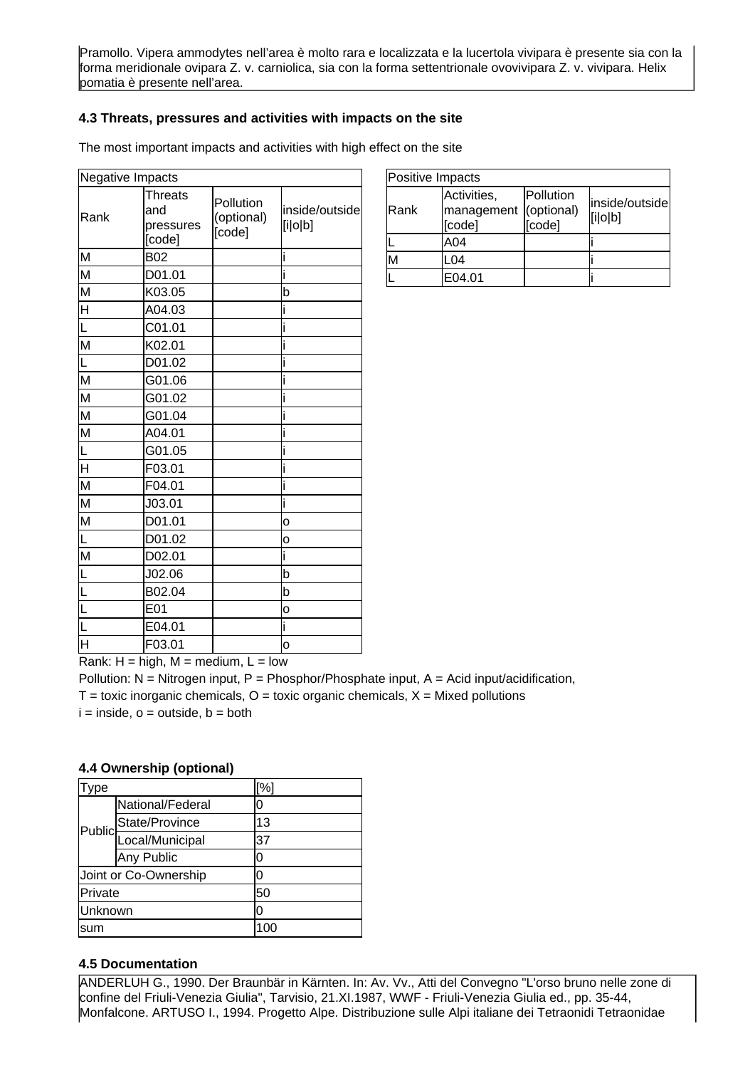Pramollo. Vipera ammodytes nell'area è molto rara e localizzata e la lucertola vivipara è presente sia con la forma meridionale ovipara Z. v. carniolica, sia con la forma settentrionale ovovivipara Z. v. vivipara. Helix pomatia è presente nell'area.

#### **4.3 Threats, pressures and activities with impacts on the site**

The most important impacts and activities with high effect on the site

| <b>Negative Impacts</b> |                                              |                                   |                           |
|-------------------------|----------------------------------------------|-----------------------------------|---------------------------|
| Rank                    | <b>Threats</b><br>and<br>pressures<br>[code] | Pollution<br>(optional)<br>[code] | inside/outside<br>[i o b] |
| M                       | <b>B02</b>                                   |                                   |                           |
| M                       | D01.01                                       |                                   |                           |
| M                       | K03.05                                       |                                   | b                         |
| $\overline{\mathsf{H}}$ | A04.03                                       |                                   |                           |
|                         | C01.01                                       |                                   |                           |
| M                       | K02.01                                       |                                   |                           |
| L                       | D01.02                                       |                                   |                           |
| M                       | G01.06                                       |                                   |                           |
| M                       | G01.02                                       |                                   |                           |
| $\overline{\mathsf{M}}$ | G01.04                                       |                                   |                           |
| $\overline{\mathsf{M}}$ | A04.01                                       |                                   |                           |
|                         | G01.05                                       |                                   |                           |
| $\overline{\mathsf{H}}$ | F03.01                                       |                                   |                           |
| M                       | F04.01                                       |                                   |                           |
| M                       | J03.01                                       |                                   | i                         |
| M                       | D01.01                                       |                                   | o                         |
|                         | D01.02                                       |                                   | о                         |
| $\overline{\mathsf{M}}$ | D02.01                                       |                                   |                           |
|                         | J02.06                                       |                                   | b                         |
|                         | B02.04                                       |                                   | b                         |
| L                       | E01                                          |                                   | o                         |
|                         | E04.01                                       |                                   | i                         |
| H                       | F03.01                                       |                                   | o                         |

| Positive Impacts |                                     |                                   |                           |  |  |
|------------------|-------------------------------------|-----------------------------------|---------------------------|--|--|
| Rank             | Activities,<br>management<br>[code] | Pollution<br>(optional)<br>[code] | inside/outside<br>[i o b] |  |  |
|                  | A04                                 |                                   |                           |  |  |
| М                | .04                                 |                                   |                           |  |  |
|                  | E04.01                              |                                   |                           |  |  |

Rank:  $H = high$ ,  $M = medium$ ,  $L = low$ 

Pollution:  $N =$  Nitrogen input, P = Phosphor/Phosphate input, A = Acid input/acidification,  $T =$  toxic inorganic chemicals,  $O =$  toxic organic chemicals,  $X =$  Mixed pollutions  $i = inside, o = outside, b = both$ 

#### **4.4 Ownership (optional)**

| ype     |                        | [%] |
|---------|------------------------|-----|
|         | National/Federal       |     |
|         | State/Province         | 13  |
|         | Public Local/Municipal | 37  |
|         | Any Public             | ი   |
|         | Joint or Co-Ownership  | O   |
| Private |                        | 50  |
| Unknown |                        | n   |
| sum     |                        | 100 |

#### **4.5 Documentation**

ANDERLUH G., 1990. Der Braunbär in Kärnten. In: Av. Vv., Atti del Convegno "L'orso bruno nelle zone di confine del Friuli-Venezia Giulia", Tarvisio, 21.XI.1987, WWF - Friuli-Venezia Giulia ed., pp. 35-44, Monfalcone. ARTUSO I., 1994. Progetto Alpe. Distribuzione sulle Alpi italiane dei Tetraonidi Tetraonidae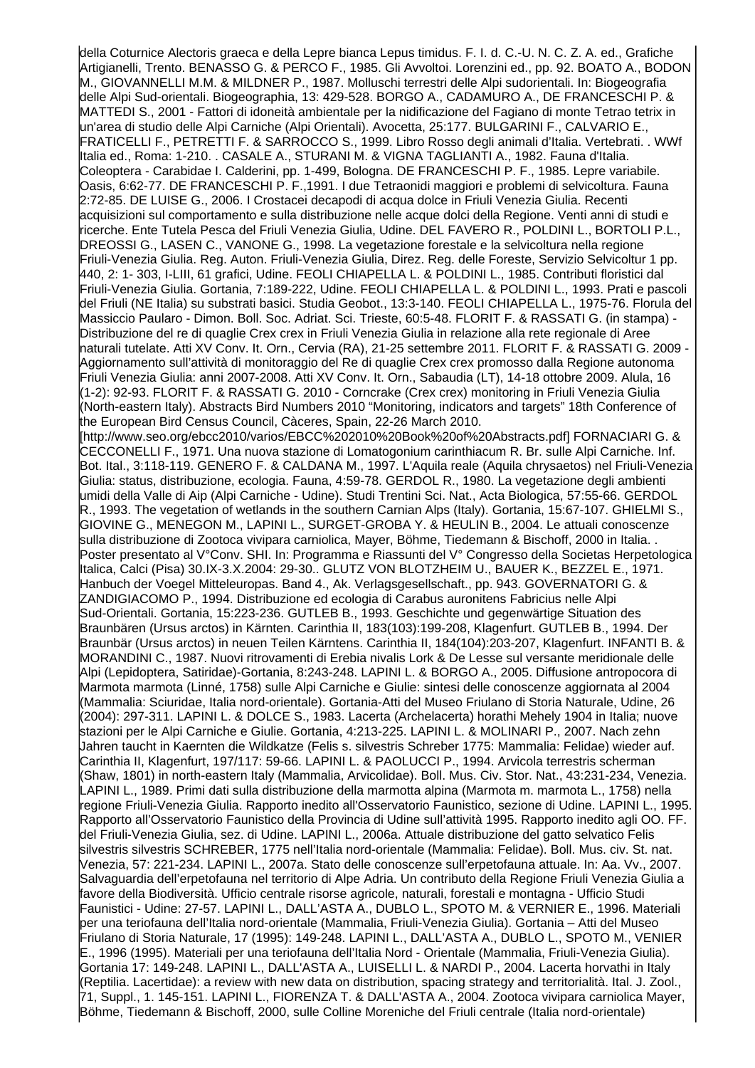della Coturnice Alectoris graeca e della Lepre bianca Lepus timidus. F. I. d. C.-U. N. C. Z. A. ed., Grafiche Artigianelli, Trento. BENASSO G. & PERCO F., 1985. Gli Avvoltoi. Lorenzini ed., pp. 92. BOATO A., BODON M., GIOVANNELLI M.M. & MILDNER P., 1987. Molluschi terrestri delle Alpi sudorientali. In: Biogeografia delle Alpi Sud-orientali. Biogeographia, 13: 429-528. BORGO A., CADAMURO A., DE FRANCESCHI P. & MATTEDI S., 2001 - Fattori di idoneità ambientale per la nidificazione del Fagiano di monte Tetrao tetrix in un'area di studio delle Alpi Carniche (Alpi Orientali). Avocetta, 25:177. BULGARINI F., CALVARIO E., FRATICELLI F., PETRETTI F. & SARROCCO S., 1999. Libro Rosso degli animali d'Italia. Vertebrati. . WWf Italia ed., Roma: 1-210. . CASALE A., STURANI M. & VIGNA TAGLIANTI A., 1982. Fauna d'Italia. Coleoptera - Carabidae I. Calderini, pp. 1-499, Bologna. DE FRANCESCHI P. F., 1985. Lepre variabile. Oasis, 6:62-77. DE FRANCESCHI P. F.,1991. I due Tetraonidi maggiori e problemi di selvicoltura. Fauna 2:72-85. DE LUISE G., 2006. I Crostacei decapodi di acqua dolce in Friuli Venezia Giulia. Recenti acquisizioni sul comportamento e sulla distribuzione nelle acque dolci della Regione. Venti anni di studi e ricerche. Ente Tutela Pesca del Friuli Venezia Giulia, Udine. DEL FAVERO R., POLDINI L., BORTOLI P.L., DREOSSI G., LASEN C., VANONE G., 1998. La vegetazione forestale e la selvicoltura nella regione Friuli-Venezia Giulia. Reg. Auton. Friuli-Venezia Giulia, Direz. Reg. delle Foreste, Servizio Selvicoltur 1 pp. 440, 2: 1- 303, I-LIII, 61 grafici, Udine. FEOLI CHIAPELLA L. & POLDINI L., 1985. Contributi floristici dal Friuli-Venezia Giulia. Gortania, 7:189-222, Udine. FEOLI CHIAPELLA L. & POLDINI L., 1993. Prati e pascoli del Friuli (NE Italia) su substrati basici. Studia Geobot., 13:3-140. FEOLI CHIAPELLA L., 1975-76. Florula del Massiccio Paularo - Dimon. Boll. Soc. Adriat. Sci. Trieste, 60:5-48. FLORIT F. & RASSATI G. (in stampa) - Distribuzione del re di quaglie Crex crex in Friuli Venezia Giulia in relazione alla rete regionale di Aree naturali tutelate. Atti XV Conv. It. Orn., Cervia (RA), 21-25 settembre 2011. FLORIT F. & RASSATI G. 2009 - Aggiornamento sull'attività di monitoraggio del Re di quaglie Crex crex promosso dalla Regione autonoma Friuli Venezia Giulia: anni 2007-2008. Atti XV Conv. It. Orn., Sabaudia (LT), 14-18 ottobre 2009. Alula, 16 (1-2): 92-93. FLORIT F. & RASSATI G. 2010 - Corncrake (Crex crex) monitoring in Friuli Venezia Giulia (North-eastern Italy). Abstracts Bird Numbers 2010 "Monitoring, indicators and targets" 18th Conference of the European Bird Census Council, Càceres, Spain, 22-26 March 2010. [http://www.seo.org/ebcc2010/varios/EBCC%202010%20Book%20of%20Abstracts.pdf] FORNACIARI G. & CECCONELLI F., 1971. Una nuova stazione di Lomatogonium carinthiacum R. Br. sulle Alpi Carniche. Inf. Bot. Ital., 3:118-119. GENERO F. & CALDANA M., 1997. L'Aquila reale (Aquila chrysaetos) nel Friuli-Venezia Giulia: status, distribuzione, ecologia. Fauna, 4:59-78. GERDOL R., 1980. La vegetazione degli ambienti umidi della Valle di Aip (Alpi Carniche - Udine). Studi Trentini Sci. Nat., Acta Biologica, 57:55-66. GERDOL R., 1993. The vegetation of wetlands in the southern Carnian Alps (Italy). Gortania, 15:67-107. GHIELMI S., GIOVINE G., MENEGON M., LAPINI L., SURGET-GROBA Y. & HEULIN B., 2004. Le attuali conoscenze sulla distribuzione di Zootoca vivipara carniolica, Mayer, Böhme, Tiedemann & Bischoff, 2000 in Italia. . Poster presentato al V°Conv. SHI. In: Programma e Riassunti del V° Congresso della Societas Herpetologica Italica, Calci (Pisa) 30.IX-3.X.2004: 29-30.. GLUTZ VON BLOTZHEIM U., BAUER K., BEZZEL E., 1971. Hanbuch der Voegel Mitteleuropas. Band 4., Ak. Verlagsgesellschaft., pp. 943. GOVERNATORI G. & ZANDIGIACOMO P., 1994. Distribuzione ed ecologia di Carabus auronitens Fabricius nelle Alpi Sud-Orientali. Gortania, 15:223-236. GUTLEB B., 1993. Geschichte und gegenwärtige Situation des Braunbären (Ursus arctos) in Kärnten. Carinthia II, 183(103):199-208, Klagenfurt. GUTLEB B., 1994. Der Braunbär (Ursus arctos) in neuen Teilen Kärntens. Carinthia II, 184(104):203-207, Klagenfurt. INFANTI B. & MORANDINI C., 1987. Nuovi ritrovamenti di Erebia nivalis Lork & De Lesse sul versante meridionale delle Alpi (Lepidoptera, Satiridae)-Gortania, 8:243-248. LAPINI L. & BORGO A., 2005. Diffusione antropocora di Marmota marmota (Linné, 1758) sulle Alpi Carniche e Giulie: sintesi delle conoscenze aggiornata al 2004 (Mammalia: Sciuridae, Italia nord-orientale). Gortania-Atti del Museo Friulano di Storia Naturale, Udine, 26 (2004): 297-311. LAPINI L. & DOLCE S., 1983. Lacerta (Archelacerta) horathi Mehely 1904 in Italia; nuove stazioni per le Alpi Carniche e Giulie. Gortania, 4:213-225. LAPINI L. & MOLINARI P., 2007. Nach zehn Jahren taucht in Kaernten die Wildkatze (Felis s. silvestris Schreber 1775: Mammalia: Felidae) wieder auf. Carinthia II, Klagenfurt, 197/117: 59-66. LAPINI L. & PAOLUCCI P., 1994. Arvicola terrestris scherman (Shaw, 1801) in north-eastern Italy (Mammalia, Arvicolidae). Boll. Mus. Civ. Stor. Nat., 43:231-234, Venezia. LAPINI L., 1989. Primi dati sulla distribuzione della marmotta alpina (Marmota m. marmota L., 1758) nella regione Friuli-Venezia Giulia. Rapporto inedito all'Osservatorio Faunistico, sezione di Udine. LAPINI L., 1995. Rapporto all'Osservatorio Faunistico della Provincia di Udine sull'attività 1995. Rapporto inedito agli OO. FF. del Friuli-Venezia Giulia, sez. di Udine. LAPINI L., 2006a. Attuale distribuzione del gatto selvatico Felis silvestris silvestris SCHREBER, 1775 nell'Italia nord-orientale (Mammalia: Felidae). Boll. Mus. civ. St. nat. Venezia, 57: 221-234. LAPINI L., 2007a. Stato delle conoscenze sull'erpetofauna attuale. In: Aa. Vv., 2007. Salvaguardia dell'erpetofauna nel territorio di Alpe Adria. Un contributo della Regione Friuli Venezia Giulia a favore della Biodiversità. Ufficio centrale risorse agricole, naturali, forestali e montagna - Ufficio Studi Faunistici - Udine: 27-57. LAPINI L., DALL'ASTA A., DUBLO L., SPOTO M. & VERNIER E., 1996. Materiali per una teriofauna dell'Italia nord-orientale (Mammalia, Friuli-Venezia Giulia). Gortania – Atti del Museo Friulano di Storia Naturale, 17 (1995): 149-248. LAPINI L., DALL'ASTA A., DUBLO L., SPOTO M., VENIER E., 1996 (1995). Materiali per una teriofauna dell'Italia Nord - Orientale (Mammalia, Friuli-Venezia Giulia). Gortania 17: 149-248. LAPINI L., DALL'ASTA A., LUISELLI L. & NARDI P., 2004. Lacerta horvathi in Italy (Reptilia. Lacertidae): a review with new data on distribution, spacing strategy and territorialità. Ital. J. Zool., 71, Suppl., 1. 145-151. LAPINI L., FIORENZA T. & DALL'ASTA A., 2004. Zootoca vivipara carniolica Mayer, Böhme, Tiedemann & Bischoff, 2000, sulle Colline Moreniche del Friuli centrale (Italia nord-orientale)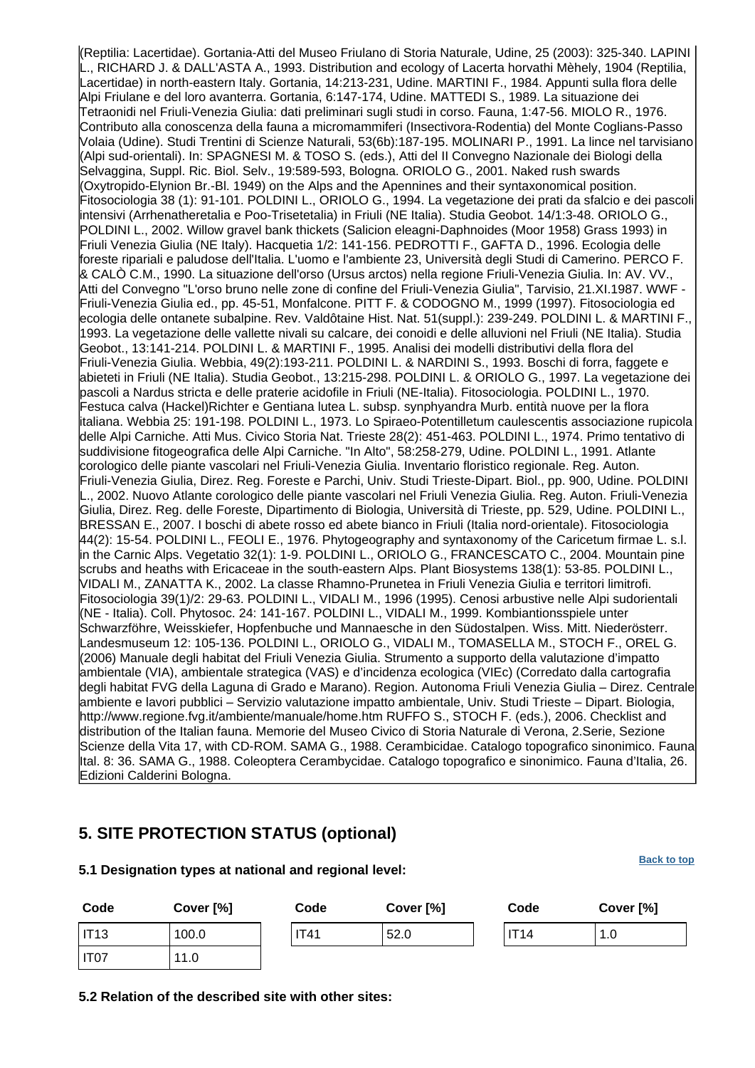(Reptilia: Lacertidae). Gortania-Atti del Museo Friulano di Storia Naturale, Udine, 25 (2003): 325-340. LAPINI L., RICHARD J. & DALL'ASTA A., 1993. Distribution and ecology of Lacerta horvathi Mèhely, 1904 (Reptilia, Lacertidae) in north-eastern Italy. Gortania, 14:213-231, Udine. MARTINI F., 1984. Appunti sulla flora delle Alpi Friulane e del loro avanterra. Gortania, 6:147-174, Udine. MATTEDI S., 1989. La situazione dei Tetraonidi nel Friuli-Venezia Giulia: dati preliminari sugli studi in corso. Fauna, 1:47-56. MIOLO R., 1976. Contributo alla conoscenza della fauna a micromammiferi (Insectivora-Rodentia) del Monte Coglians-Passo Volaia (Udine). Studi Trentini di Scienze Naturali, 53(6b):187-195. MOLINARI P., 1991. La lince nel tarvisiano (Alpi sud-orientali). In: SPAGNESI M. & TOSO S. (eds.), Atti del II Convegno Nazionale dei Biologi della Selvaggina, Suppl. Ric. Biol. Selv., 19:589-593, Bologna. ORIOLO G., 2001. Naked rush swards (Oxytropido-Elynion Br.-Bl. 1949) on the Alps and the Apennines and their syntaxonomical position. Fitosociologia 38 (1): 91-101. POLDINI L., ORIOLO G., 1994. La vegetazione dei prati da sfalcio e dei pascoli intensivi (Arrhenatheretalia e Poo-Trisetetalia) in Friuli (NE Italia). Studia Geobot. 14/1:3-48. ORIOLO G., POLDINI L., 2002. Willow gravel bank thickets (Salicion eleagni-Daphnoides (Moor 1958) Grass 1993) in Friuli Venezia Giulia (NE Italy). Hacquetia 1/2: 141-156. PEDROTTI F., GAFTA D., 1996. Ecologia delle foreste ripariali e paludose dell'Italia. L'uomo e l'ambiente 23, Università degli Studi di Camerino. PERCO F. & CALÒ C.M., 1990. La situazione dell'orso (Ursus arctos) nella regione Friuli-Venezia Giulia. In: AV. VV., Atti del Convegno "L'orso bruno nelle zone di confine del Friuli-Venezia Giulia", Tarvisio, 21.XI.1987. WWF - Friuli-Venezia Giulia ed., pp. 45-51, Monfalcone. PITT F. & CODOGNO M., 1999 (1997). Fitosociologia ed ecologia delle ontanete subalpine. Rev. Valdôtaine Hist. Nat. 51(suppl.): 239-249. POLDINI L. & MARTINI F., 1993. La vegetazione delle vallette nivali su calcare, dei conoidi e delle alluvioni nel Friuli (NE Italia). Studia Geobot., 13:141-214. POLDINI L. & MARTINI F., 1995. Analisi dei modelli distributivi della flora del Friuli-Venezia Giulia. Webbia, 49(2):193-211. POLDINI L. & NARDINI S., 1993. Boschi di forra, faggete e abieteti in Friuli (NE Italia). Studia Geobot., 13:215-298. POLDINI L. & ORIOLO G., 1997. La vegetazione dei pascoli a Nardus stricta e delle praterie acidofile in Friuli (NE-Italia). Fitosociologia. POLDINI L., 1970. Festuca calva (Hackel)Richter e Gentiana lutea L. subsp. synphyandra Murb. entità nuove per la flora italiana. Webbia 25: 191-198. POLDINI L., 1973. Lo Spiraeo-Potentilletum caulescentis associazione rupicola delle Alpi Carniche. Atti Mus. Civico Storia Nat. Trieste 28(2): 451-463. POLDINI L., 1974. Primo tentativo di suddivisione fitogeografica delle Alpi Carniche. "In Alto", 58:258-279, Udine. POLDINI L., 1991. Atlante corologico delle piante vascolari nel Friuli-Venezia Giulia. Inventario floristico regionale. Reg. Auton. Friuli-Venezia Giulia, Direz. Reg. Foreste e Parchi, Univ. Studi Trieste-Dipart. Biol., pp. 900, Udine. POLDINI L., 2002. Nuovo Atlante corologico delle piante vascolari nel Friuli Venezia Giulia. Reg. Auton. Friuli-Venezia Giulia, Direz. Reg. delle Foreste, Dipartimento di Biologia, Università di Trieste, pp. 529, Udine. POLDINI L., BRESSAN E., 2007. I boschi di abete rosso ed abete bianco in Friuli (Italia nord-orientale). Fitosociologia 44(2): 15-54. POLDINI L., FEOLI E., 1976. Phytogeography and syntaxonomy of the Caricetum firmae L. s.l. in the Carnic Alps. Vegetatio 32(1): 1-9. POLDINI L., ORIOLO G., FRANCESCATO C., 2004. Mountain pine scrubs and heaths with Ericaceae in the south-eastern Alps. Plant Biosystems 138(1): 53-85. POLDINI L., VIDALI M., ZANATTA K., 2002. La classe Rhamno-Prunetea in Friuli Venezia Giulia e territori limitrofi. Fitosociologia 39(1)/2: 29-63. POLDINI L., VIDALI M., 1996 (1995). Cenosi arbustive nelle Alpi sudorientali (NE - Italia). Coll. Phytosoc. 24: 141-167. POLDINI L., VIDALI M., 1999. Kombiantionsspiele unter Schwarzföhre, Weisskiefer, Hopfenbuche und Mannaesche in den Südostalpen. Wiss. Mitt. Niederösterr. Landesmuseum 12: 105-136. POLDINI L., ORIOLO G., VIDALI M., TOMASELLA M., STOCH F., OREL G. (2006) Manuale degli habitat del Friuli Venezia Giulia. Strumento a supporto della valutazione d'impatto ambientale (VIA), ambientale strategica (VAS) e d'incidenza ecologica (VIEc) (Corredato dalla cartografia degli habitat FVG della Laguna di Grado e Marano). Region. Autonoma Friuli Venezia Giulia – Direz. Centrale ambiente e lavori pubblici – Servizio valutazione impatto ambientale, Univ. Studi Trieste – Dipart. Biologia, http://www.regione.fvg.it/ambiente/manuale/home.htm RUFFO S., STOCH F. (eds.), 2006. Checklist and distribution of the Italian fauna. Memorie del Museo Civico di Storia Naturale di Verona, 2.Serie, Sezione Scienze della Vita 17, with CD-ROM. SAMA G., 1988. Cerambicidae. Catalogo topografico sinonimico. Fauna Ital. 8: 36. SAMA G., 1988. Coleoptera Cerambycidae. Catalogo topografico e sinonimico. Fauna d'Italia, 26. Edizioni Calderini Bologna.

## <span id="page-11-0"></span>**5. SITE PROTECTION STATUS (optional)**

**Code Cover [%] Code Cover [%] Code Cover [%]** IT13 100.0 IT41 52.0 IT14 1.0 IT07 11.0

**5.2 Relation of the described site with other sites:**

**5.1 Designation types at national and regional level:**

**[Back to top](#page-0-0)**